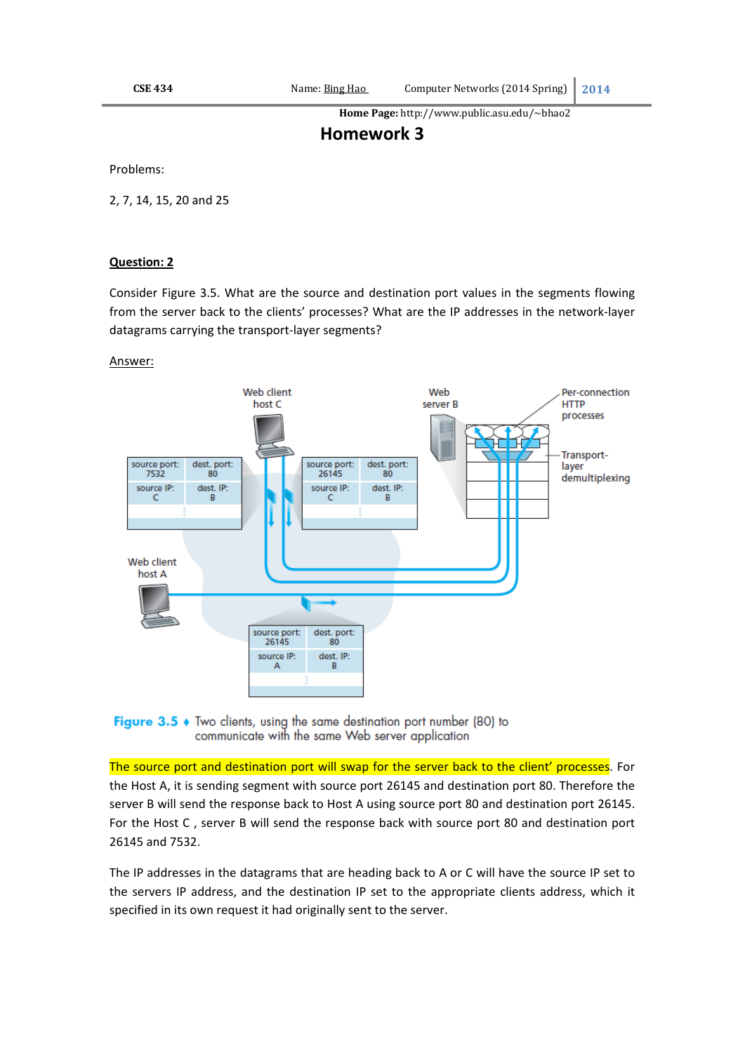**Home Page:** http://www.public.asu.edu/~bhao2 

# **Homework 3**

Problems:

2, 7, 14, 15, 20 and 25

# **Question: 2**

Consider Figure 3.5. What are the source and destination port values in the segments flowing from the server back to the clients' processes? What are the IP addresses in the network‐layer datagrams carrying the transport‐layer segments?

# Answer:



Figure 3.5  $\bullet$  Two clients, using the same destination port number (80) to communicate with the same Web server application

The source port and destination port will swap for the server back to the client' processes. For the Host A, it is sending segment with source port 26145 and destination port 80. Therefore the server B will send the response back to Host A using source port 80 and destination port 26145. For the Host C , server B will send the response back with source port 80 and destination port 26145 and 7532.

The IP addresses in the datagrams that are heading back to A or C will have the source IP set to the servers IP address, and the destination IP set to the appropriate clients address, which it specified in its own request it had originally sent to the server.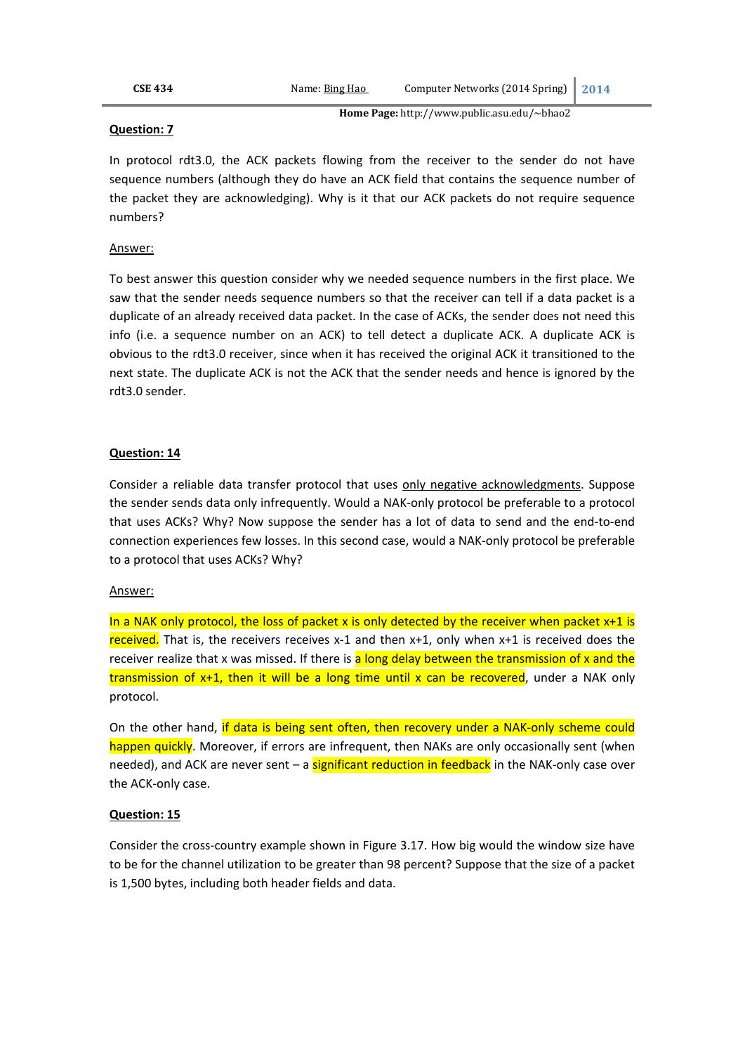**Home Page:** http://www.public.asu.edu/~bhao2 

### **Question: 7**

In protocol rdt3.0, the ACK packets flowing from the receiver to the sender do not have sequence numbers (although they do have an ACK field that contains the sequence number of the packet they are acknowledging). Why is it that our ACK packets do not require sequence numbers?

# Answer:

To best answer this question consider why we needed sequence numbers in the first place. We saw that the sender needs sequence numbers so that the receiver can tell if a data packet is a duplicate of an already received data packet. In the case of ACKs, the sender does not need this info (i.e. a sequence number on an ACK) to tell detect a duplicate ACK. A duplicate ACK is obvious to the rdt3.0 receiver, since when it has received the original ACK it transitioned to the next state. The duplicate ACK is not the ACK that the sender needs and hence is ignored by the rdt3.0 sender.

# **Question: 14**

Consider a reliable data transfer protocol that uses only negative acknowledgments. Suppose the sender sends data only infrequently. Would a NAK‐only protocol be preferable to a protocol that uses ACKs? Why? Now suppose the sender has a lot of data to send and the end‐to‐end connection experiences few losses. In this second case, would a NAK‐only protocol be preferable to a protocol that uses ACKs? Why?

#### Answer:

In a NAK only protocol, the loss of packet x is only detected by the receiver when packet  $x+1$  is received. That is, the receivers receives  $x-1$  and then  $x+1$ , only when  $x+1$  is received does the receiver realize that x was missed. If there is a long delay between the transmission of x and the transmission of  $x+1$ , then it will be a long time until x can be recovered, under a NAK only protocol.

On the other hand, if data is being sent often, then recovery under a NAK-only scheme could happen quickly. Moreover, if errors are infrequent, then NAKs are only occasionally sent (when needed), and ACK are never sent – a significant reduction in feedback in the NAK-only case over the ACK‐only case.

#### **Question: 15**

Consider the cross‐country example shown in Figure 3.17. How big would the window size have to be for the channel utilization to be greater than 98 percent? Suppose that the size of a packet is 1,500 bytes, including both header fields and data.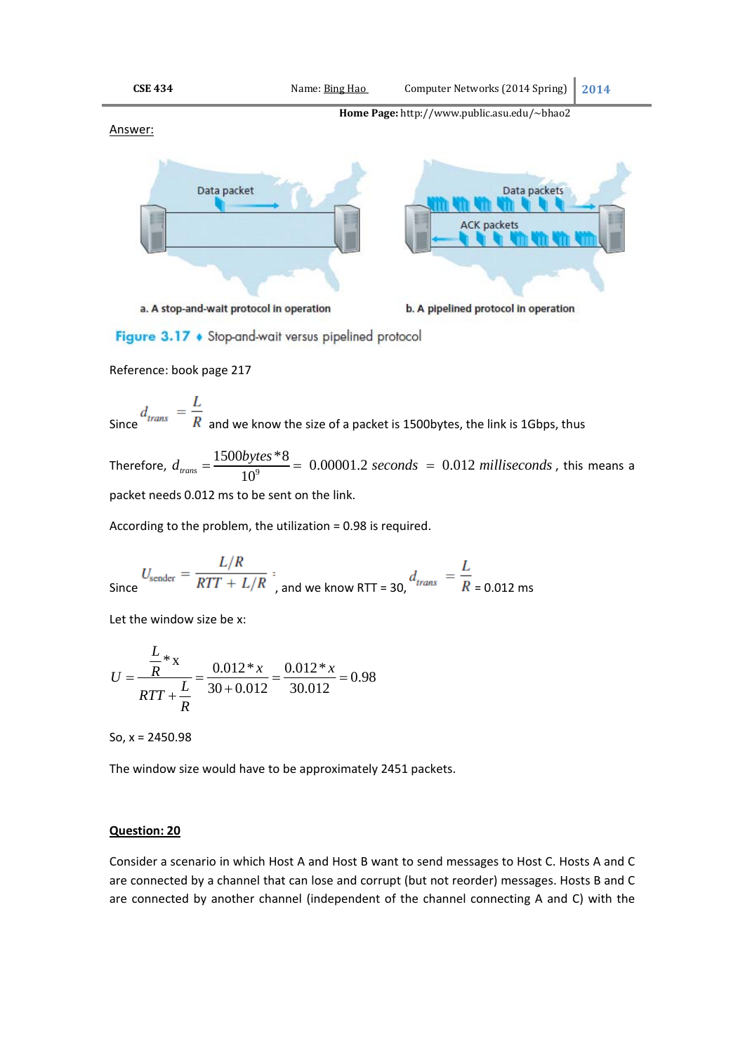

Figure 3.17 • Stop-and-wait versus pipelined protocol

Reference: book page 217

Since 
$$
\frac{d_{trans}}{R} = \frac{L}{R}
$$
 and we know the size of a packet is 1500bytes, the link is 1Gbps, thus

Therefore,  $d_{\text{trans}} = \frac{1500 \text{bytes} * 8}{10^9} = 0.00001.2 \text{ seconds} = 0.012 \text{ milliseconds}$ , this means a packet needs 0.012 ms to be sent on the link.

According to the problem, the utilization = 0.98 is required.

Since 
$$
U_{\text{sender}} = \frac{L/R}{RTT + L/R}
$$
, and we know RTT = 30,  $d_{trans} = \frac{L}{R}$  = 0.012 ms

Let the window size be x:

$$
U = \frac{\frac{L}{R} * x}{RTT + \frac{L}{R}} = \frac{0.012 * x}{30 + 0.012} = \frac{0.012 * x}{30.012} = 0.98
$$

So, x = 2450.98

The window size would have to be approximately 2451 packets.

# **Question: 20**

Consider a scenario in which Host A and Host B want to send messages to Host C. Hosts A and C are connected by a channel that can lose and corrupt (but not reorder) messages. Hosts B and C are connected by another channel (independent of the channel connecting A and C) with the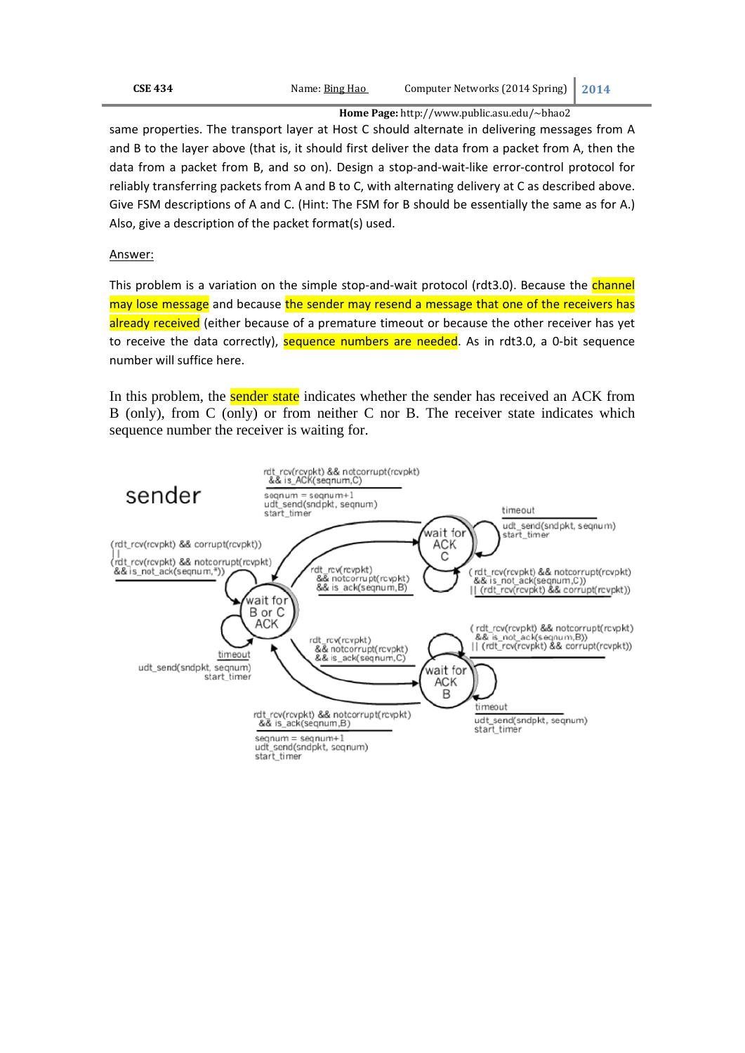**Home Page:** http://www.public.asu.edu/~bhao2 

same properties. The transport layer at Host C should alternate in delivering messages from A and B to the layer above (that is, it should first deliver the data from a packet from A, then the data from a packet from B, and so on). Design a stop‐and‐wait‐like error‐control protocol for reliably transferring packets from A and B to C, with alternating delivery at C as described above. Give FSM descriptions of A and C. (Hint: The FSM for B should be essentially the same as for A.) Also, give a description of the packet format(s) used.

# Answer:

This problem is a variation on the simple stop-and-wait protocol (rdt3.0). Because the channel may lose message and because the sender may resend a message that one of the receivers has already received (either because of a premature timeout or because the other receiver has yet to receive the data correctly), sequence numbers are needed. As in rdt3.0, a 0-bit sequence number will suffice here.

In this problem, the **sender state** indicates whether the sender has received an ACK from B (only), from C (only) or from neither C nor B. The receiver state indicates which sequence number the receiver is waiting for.